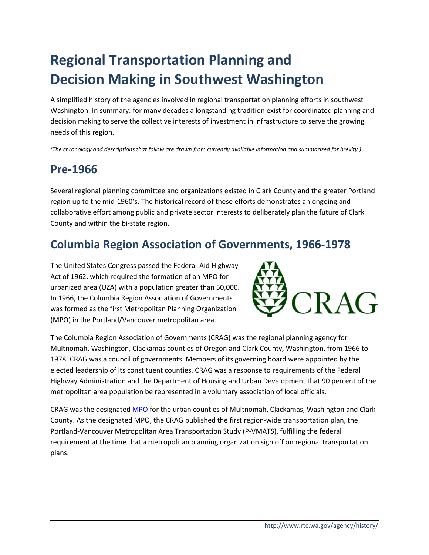# **Regional Transportation Planning and Decision Making in Southwest Washington**

A simplified history of the agencies involved in regional transportation planning efforts in southwest Washington. In summary: for many decades a longstanding tradition exist for coordinated planning and decision making to serve the collective interests of investment in infrastructure to serve the growing needs of this region.

*(The chronology and descriptions that follow are drawn from currently available information and summarized for brevity.)*

### **Pre-1966**

Several regional planning committee and organizations existed in Clark County and the greater Portland region up to the mid-1960's. The historical record of these efforts demonstrates an ongoing and collaborative effort among public and private sector interests to deliberately plan the future of Clark County and within the bi-state region.

### **Columbia Region Association of Governments, 1966-1978**

The United States Congress passed the Federal-Aid Highway Act of 1962, which required the formation of an MPO for urbanized area (UZA) with a population greater than 50,000. In 1966, the Columbia Region Association of Governments was formed as the first Metropolitan Planning Organization (MPO) in the Portland/Vancouver metropolitan area.



The Columbia Region Association of Governments (CRAG) was the regional planning agency for Multnomah, Washington, Clackamas counties of Oregon and Clark County, Washington, from 1966 to 1978. CRAG was a council of governments. Members of its governing board were appointed by the elected leadership of its constituent counties. CRAG was a response to requirements of the Federal Highway Administration and the Department of Housing and Urban Development that 90 percent of the metropolitan area population be represented in a voluntary association of local officials.

CRAG was the designate[d MPO](http://rtc.wa.gov/agency/#MPO) for the urban counties of Multnomah, Clackamas, Washington and Clark County. As the designated MPO, the CRAG published the first region-wide transportation plan, the Portland-Vancouver Metropolitan Area Transportation Study (P-VMATS), fulfilling the federal requirement at the time that a metropolitan planning organization sign off on regional transportation plans.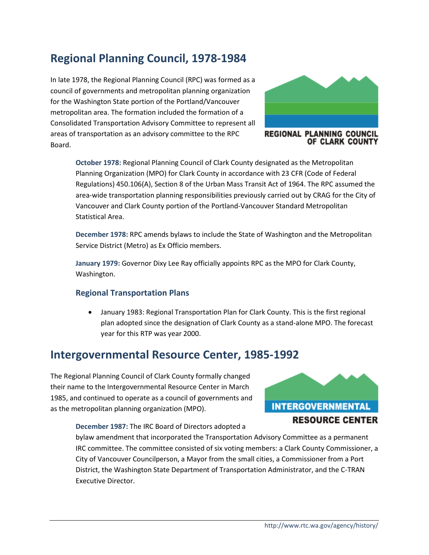### **Regional Planning Council, 1978-1984**

In late 1978, the Regional Planning Council (RPC) was formed as a council of governments and metropolitan planning organization for the Washington State portion of the Portland/Vancouver metropolitan area. The formation included the formation of a Consolidated Transportation Advisory Committee to represent all areas of transportation as an advisory committee to the RPC Board.



REGIONAL PLANNING COUNCIL OF CLARK COUNTY

**October 1978:** Regional Planning Council of Clark County designated as the Metropolitan Planning Organization (MPO) for Clark County in accordance with 23 CFR (Code of Federal Regulations) 450.106(A), Section 8 of the Urban Mass Transit Act of 1964. The RPC assumed the area-wide transportation planning responsibilities previously carried out by CRAG for the City of Vancouver and Clark County portion of the Portland-Vancouver Standard Metropolitan Statistical Area.

**December 1978:** RPC amends bylaws to include the State of Washington and the Metropolitan Service District (Metro) as Ex Officio members.

**January 1979:** Governor Dixy Lee Ray officially appoints RPC as the MPO for Clark County, Washington.

#### **Regional Transportation Plans**

• January 1983: Regional Transportation Plan for Clark County. This is the first regional plan adopted since the designation of Clark County as a stand-alone MPO. The forecast year for this RTP was year 2000.

### **Intergovernmental Resource Center, 1985-1992**

The Regional Planning Council of Clark County formally changed their name to the Intergovernmental Resource Center in March 1985, and continued to operate as a council of governments and as the metropolitan planning organization (MPO).

**December 1987:** The IRC Board of Directors adopted a

bylaw amendment that incorporated the Transportation Advisory Committee as a permanent IRC committee. The committee consisted of six voting members: a Clark County Commissioner, a City of Vancouver Councilperson, a Mayor from the small cities, a Commissioner from a Port District, the Washington State Department of Transportation Administrator, and the C-TRAN Executive Director.

**INTERGOVERNMENTAL** 

**RESOURCE CENTER**